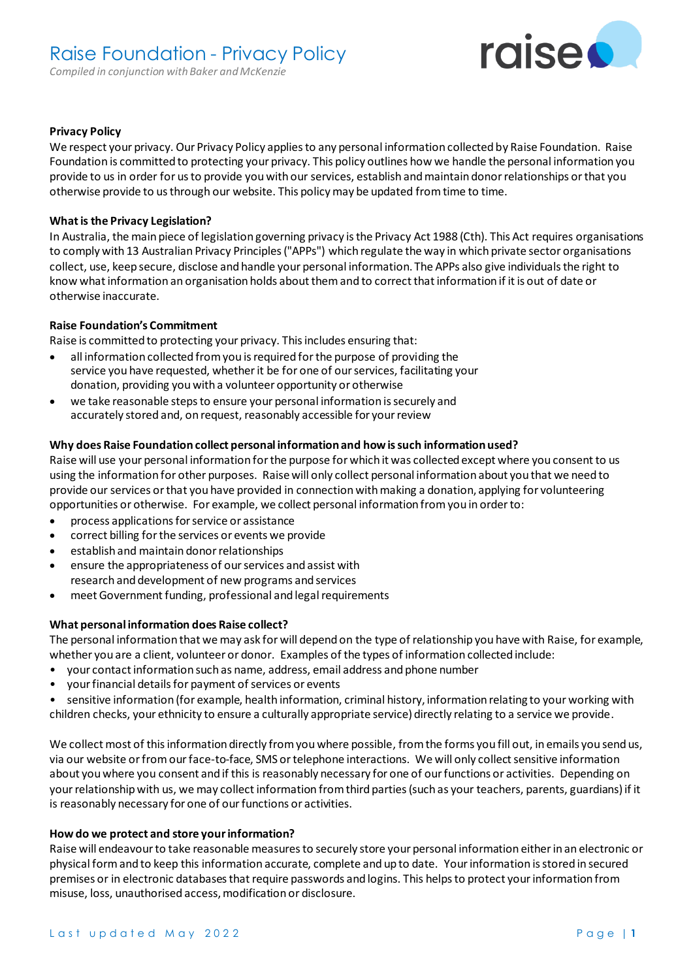

## **Privacy Policy**

We respect your privacy. Our Privacy Policy applies to any personal information collected by Raise Foundation. Raise Foundation is committed to protecting your privacy. This policy outlines how we handle the personal information you provide to us in order for us to provide you with our services, establish and maintain donor relationships or that you otherwise provide to us through our website. This policy may be updated from time to time.

## **What is the Privacy Legislation?**

In Australia, the main piece of legislation governing privacy is the Privacy Act 1988 (Cth). This Act requires organisations to comply with 13 Australian Privacy Principles ("APPs") which regulate the way in which private sector organisations collect, use, keep secure, disclose and handle your personal information. The APPs also give individuals the right to know what information an organisation holds about them and to correct that information if it is out of date or otherwise inaccurate.

# **Raise Foundation's Commitment**

Raise is committed to protecting your privacy. This includes ensuring that:

- all information collected from you is required for the purpose of providing the service you have requested, whether it be for one of our services, facilitating your donation, providing you with a volunteer opportunity or otherwise
- we take reasonable steps to ensure your personal information is securely and accurately stored and, on request, reasonably accessible for your review

# **Why does Raise Foundation collect personal information and how is such information used?**

Raise will use your personal information for the purpose for which it was collected except where you consent to us using the information for other purposes. Raise will only collect personal information about you that we need to provide our services or that you have provided in connection with making a donation, applying for volunteering opportunities or otherwise. For example, we collect personal information from you in order to:

- process applications for service or assistance
- correct billing for the services or events we provide
- establish and maintain donor relationships
- ensure the appropriateness of our services and assist with research and development of new programs and services
- meet Government funding, professional and legal requirements

## **What personal information does Raise collect?**

The personal information that we may ask for will depend on the type of relationship you have with Raise, for example, whether you are a client, volunteer or donor. Examples of the types of information collected include:

- your contact information such as name, address, email address and phone number
- your financial details for payment of services or events
- sensitive information (for example, health information, criminal history, information relating to your working with children checks, your ethnicity to ensure a culturally appropriate service) directly relating to a service we provide.

We collect most of this information directly from you where possible, from the forms you fill out, in emails you send us, via our website or from our face-to-face, SMS or telephone interactions. We will only collect sensitive information about you where you consent and if this is reasonably necessary for one of our functions or activities. Depending on your relationship with us, we may collect information from third parties (such as your teachers, parents, guardians) if it is reasonably necessary for one of our functions or activities.

## **How do we protect and store your information?**

Raise will endeavour to take reasonable measures to securely store your personal information either in an electronic or physical form and to keep this information accurate, complete and up to date. Your information is stored in secured premises or in electronic databases that require passwords and logins. This helps to protect your information from misuse, loss, unauthorised access, modification or disclosure.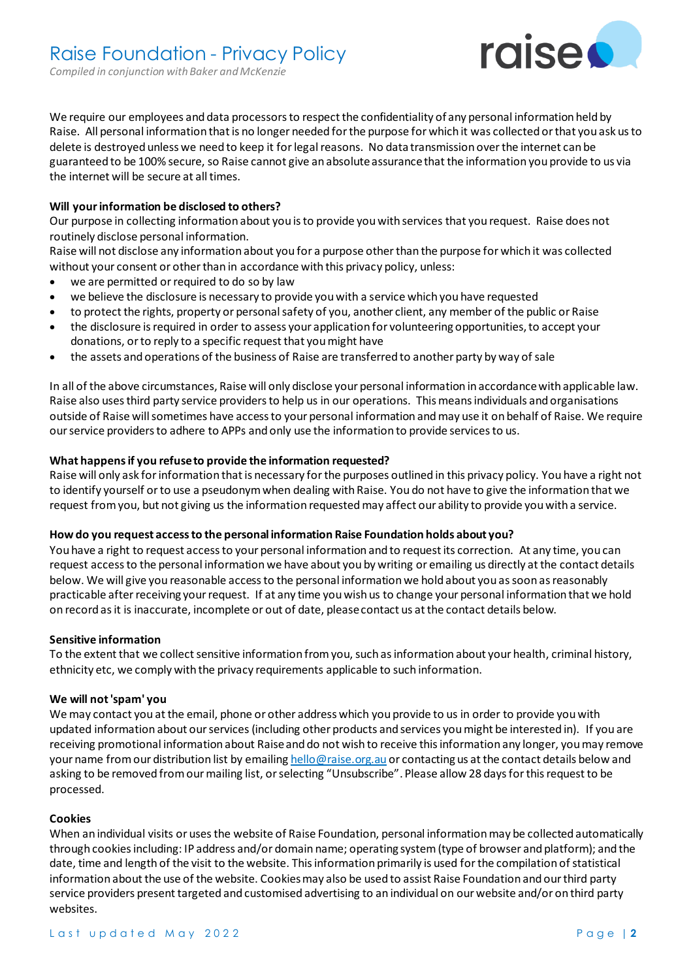

We require our employees and data processors to respect the confidentiality of any personal information held by Raise. All personal information that is no longer needed for the purpose for which it was collected or that you ask us to delete is destroyed unless we need to keep it for legal reasons. No data transmission over the internet can be guaranteed to be 100% secure, so Raise cannot give an absolute assurance that the information you provide to us via the internet will be secure at all times.

## **Will your information be disclosed to others?**

Our purpose in collecting information about you is to provide you with services that you request. Raise does not routinely disclose personal information.

Raise will not disclose any information about you for a purpose other than the purpose for which it was collected without your consent or other than in accordance with this privacy policy, unless:

- we are permitted or required to do so by law
- we believe the disclosure is necessary to provide you with a service which you have requested
- to protect the rights, property or personal safety of you, another client, any member of the public or Raise
- the disclosure is required in order to assess your application for volunteering opportunities, to accept your donations, or to reply to a specific request that you might have
- the assets and operations of the business of Raise are transferred to another party by way of sale

In all of the above circumstances, Raise will only disclose your personal information in accordance with applicable law. Raise also uses third party service providers to help us in our operations. This means individuals and organisations outside of Raise will sometimes have access to your personal information and may use it on behalf of Raise. We require our service providers to adhere to APPs and only use the information to provide services to us.

### **What happens if you refuse to provide the information requested?**

Raise will only ask for information that is necessary for the purposes outlined in this privacy policy. You have a right not to identify yourself or to use a pseudonym when dealing with Raise. You do not have to give the information that we request from you, but not giving us the information requested may affect our ability to provide you with a service.

#### **How do you request access to the personal information Raise Foundation holds about you?**

You have a right to request access to your personal information and to request its correction. At any time, you can request access to the personal information we have about you by writing or emailing us directly at the contact details below. We will give you reasonable access to the personal information we hold about you as soon as reasonably practicable after receiving your request. If at any time you wish us to change your personal information that we hold on record as it is inaccurate, incomplete or out of date, please contact us at the contact details below.

#### **Sensitive information**

To the extent that we collect sensitive information from you, such as information about your health, criminal history, ethnicity etc, we comply with the privacy requirements applicable to such information.

#### **We will not 'spam' you**

We may contact you at the email, phone or other address which you provide to us in order to provide you with updated information about our services(including other products and services you might be interested in). If you are receiving promotional information about Raise and do not wish to receive this information any longer, you may remove your name from our distribution list by emailing [hello@raise.org.au](mailto:info@raise.org.au) or contacting us at the contact details below and asking to be removed from our mailing list, or selecting "Unsubscribe". Please allow 28 days for this request to be processed.

#### **Cookies**

When an individual visits or uses the website of Raise Foundation, personal information may be collected automatically through cookies including: IP address and/or domain name; operating system (type of browser and platform); and the date, time and length of the visit to the website. This information primarily is used for the compilation of statistical information about the use of the website. Cookies may also be used to assist Raise Foundation and our third party service providers present targeted and customised advertising to an individual on our website and/or on third party websites.